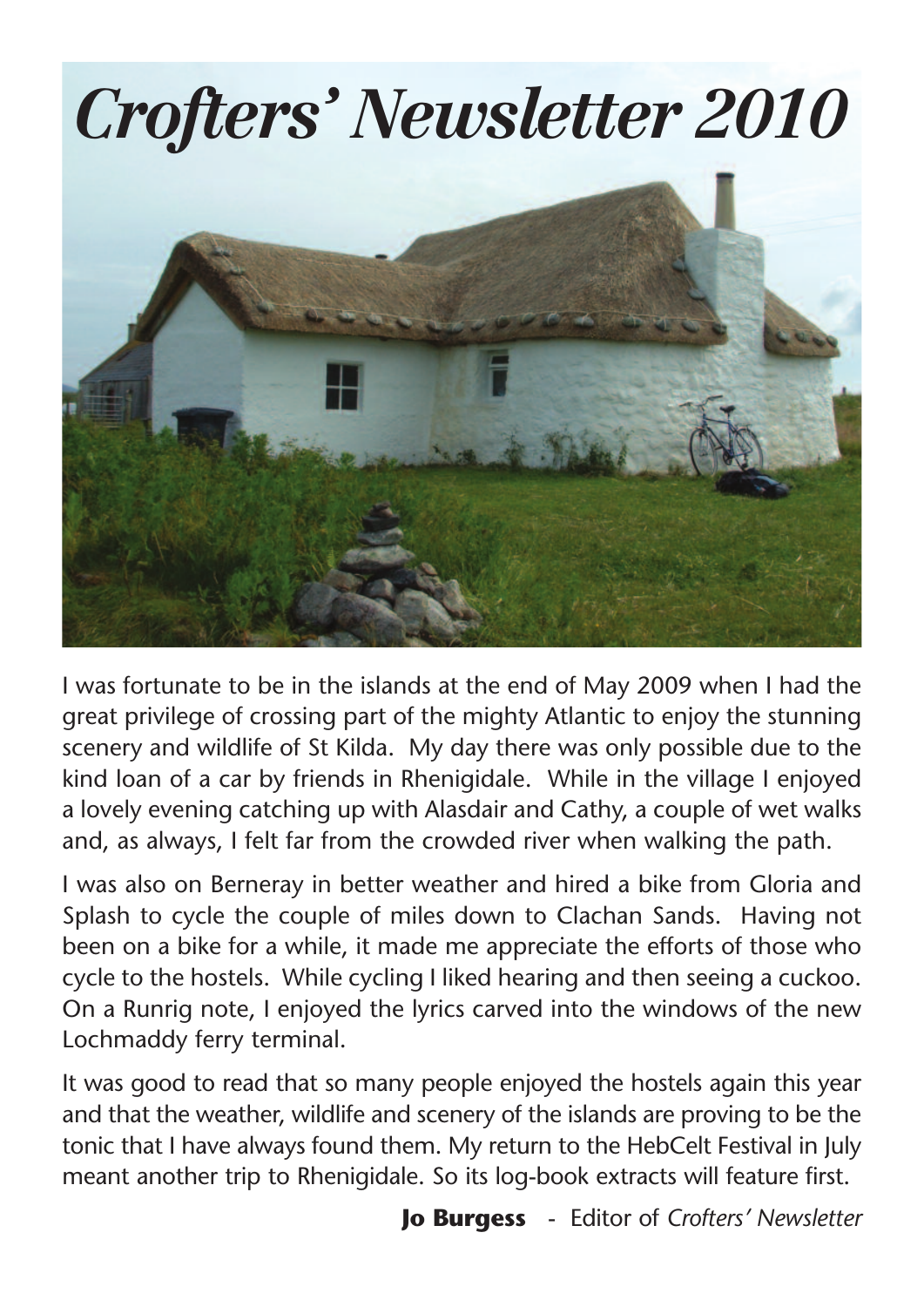

I was fortunate to be in the islands at the end of May 2009 when I had the great privilege of crossing part of the mighty Atlantic to enjoy the stunning scenery and wildlife of St Kilda. My day there was only possible due to the kind loan of a car by friends in Rhenigidale. While in the village I enjoyed a lovely evening catching up with Alasdair and Cathy, a couple of wet walks and, as always, I felt far from the crowded river when walking the path.

I was also on Berneray in better weather and hired a bike from Gloria and Splash to cycle the couple of miles down to Clachan Sands. Having not been on a bike for a while, it made me appreciate the efforts of those who cycle to the hostels. While cycling I liked hearing and then seeing a cuckoo. On a Runrig note, I enjoyed the lyrics carved into the windows of the new Lochmaddy ferry terminal.

It was good to read that so many people enjoyed the hostels again this year and that the weather, wildlife and scenery of the islands are proving to be the tonic that I have always found them. My return to the HebCelt Festival in July meant another trip to Rhenigidale. So its log-book extracts will feature first.

**Jo Burgess** - Editor of *Crofters' Newsletter*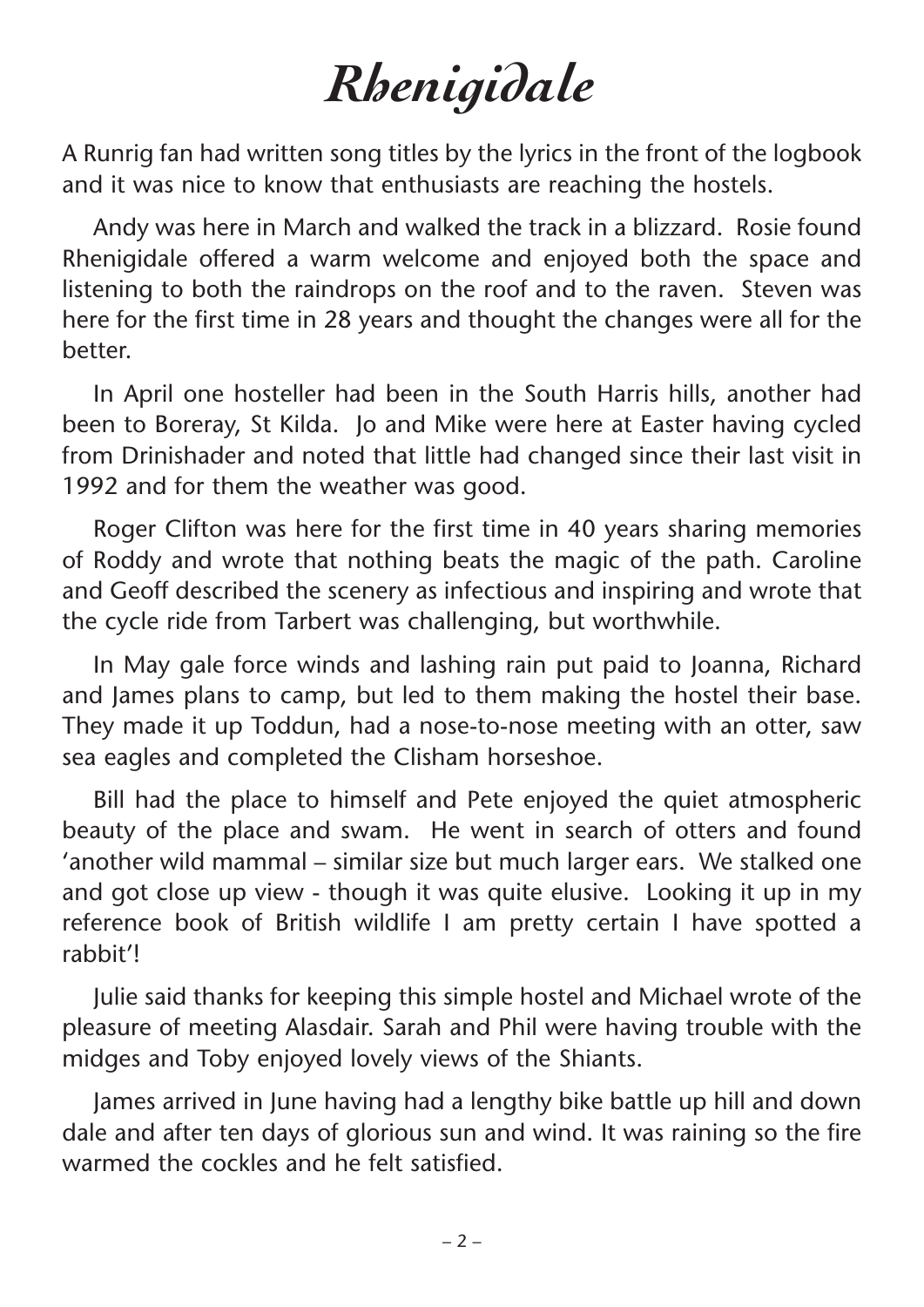## *Rhenigidale*

A Runrig fan had written song titles by the lyrics in the front of the logbook and it was nice to know that enthusiasts are reaching the hostels.

Andy was here in March and walked the track in a blizzard. Rosie found Rhenigidale offered a warm welcome and enjoyed both the space and listening to both the raindrops on the roof and to the raven. Steven was here for the first time in 28 years and thought the changes were all for the better.

In April one hosteller had been in the South Harris hills, another had been to Boreray, St Kilda. Jo and Mike were here at Easter having cycled from Drinishader and noted that little had changed since their last visit in 1992 and for them the weather was good.

Roger Clifton was here for the first time in 40 years sharing memories of Roddy and wrote that nothing beats the magic of the path. Caroline and Geoff described the scenery as infectious and inspiring and wrote that the cycle ride from Tarbert was challenging, but worthwhile.

In May gale force winds and lashing rain put paid to Joanna, Richard and James plans to camp, but led to them making the hostel their base. They made it up Toddun, had a nose-to-nose meeting with an otter, saw sea eagles and completed the Clisham horseshoe.

Bill had the place to himself and Pete enjoyed the quiet atmospheric beauty of the place and swam. He went in search of otters and found 'another wild mammal – similar size but much larger ears. We stalked one and got close up view - though it was quite elusive. Looking it up in my reference book of British wildlife I am pretty certain I have spotted a rabbit'!

Julie said thanks for keeping this simple hostel and Michael wrote of the pleasure of meeting Alasdair. Sarah and Phil were having trouble with the midges and Toby enjoyed lovely views of the Shiants.

James arrived in June having had a lengthy bike battle up hill and down dale and after ten days of glorious sun and wind. It was raining so the fire warmed the cockles and he felt satisfied.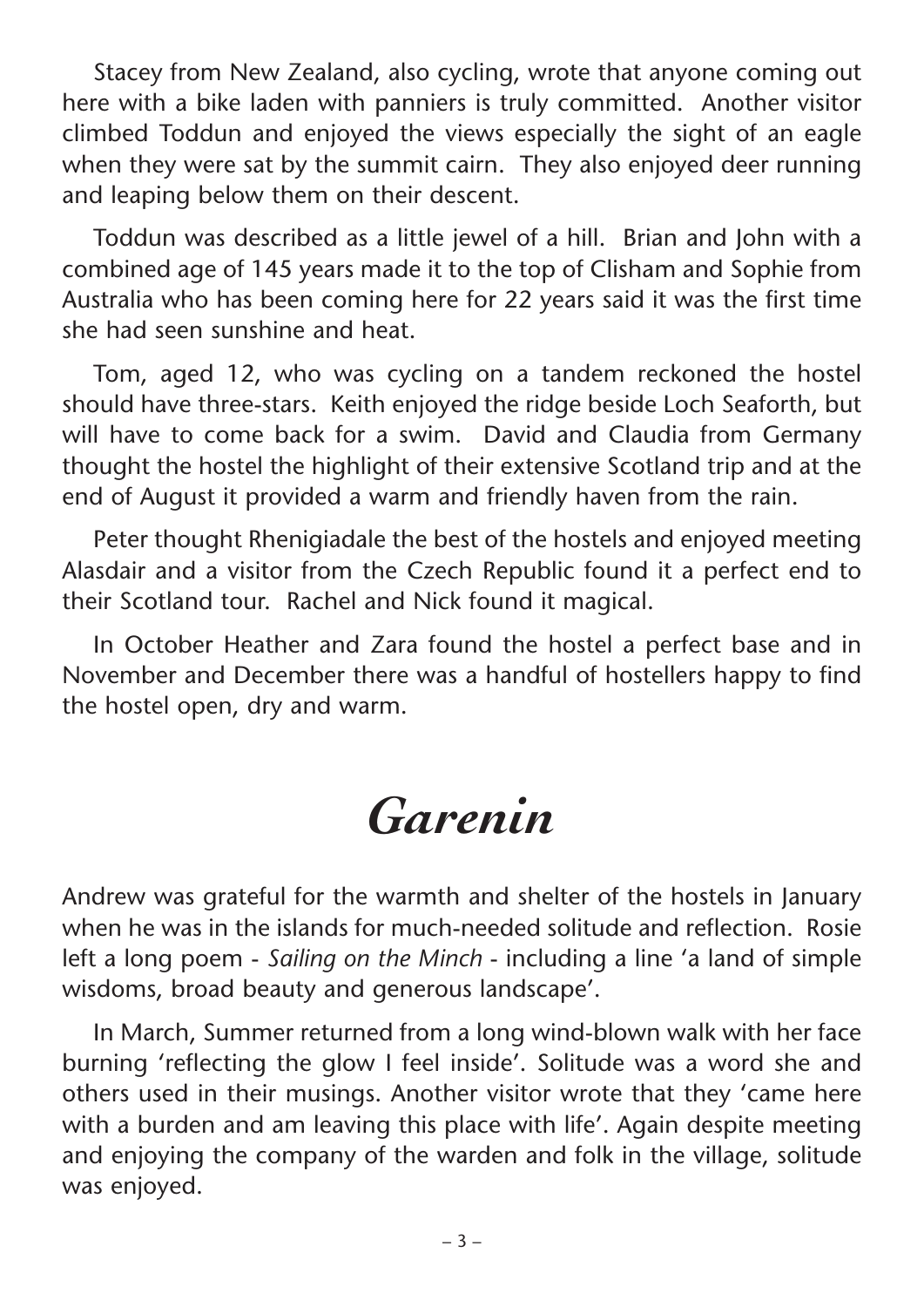Stacey from New Zealand, also cycling, wrote that anyone coming out here with a bike laden with panniers is truly committed. Another visitor climbed Toddun and enjoyed the views especially the sight of an eagle when they were sat by the summit cairn. They also enjoyed deer running and leaping below them on their descent.

Toddun was described as a little jewel of a hill. Brian and John with a combined age of 145 years made it to the top of Clisham and Sophie from Australia who has been coming here for 22 years said it was the first time she had seen sunshine and heat.

Tom, aged 12, who was cycling on a tandem reckoned the hostel should have three-stars. Keith enjoyed the ridge beside Loch Seaforth, but will have to come back for a swim. David and Claudia from Germany thought the hostel the highlight of their extensive Scotland trip and at the end of August it provided a warm and friendly haven from the rain.

Peter thought Rhenigiadale the best of the hostels and enjoyed meeting Alasdair and a visitor from the Czech Republic found it a perfect end to their Scotland tour. Rachel and Nick found it magical.

In October Heather and Zara found the hostel a perfect base and in November and December there was a handful of hostellers happy to find the hostel open, dry and warm.

## *Garenin*

Andrew was grateful for the warmth and shelter of the hostels in January when he was in the islands for much-needed solitude and reflection. Rosie left a long poem - *Sailing on the Minch* - including a line 'a land of simple wisdoms, broad beauty and generous landscape'.

In March, Summer returned from a long wind-blown walk with her face burning 'reflecting the glow I feel inside'. Solitude was a word she and others used in their musings. Another visitor wrote that they 'came here with a burden and am leaving this place with life'. Again despite meeting and enjoying the company of the warden and folk in the village, solitude was enjoyed.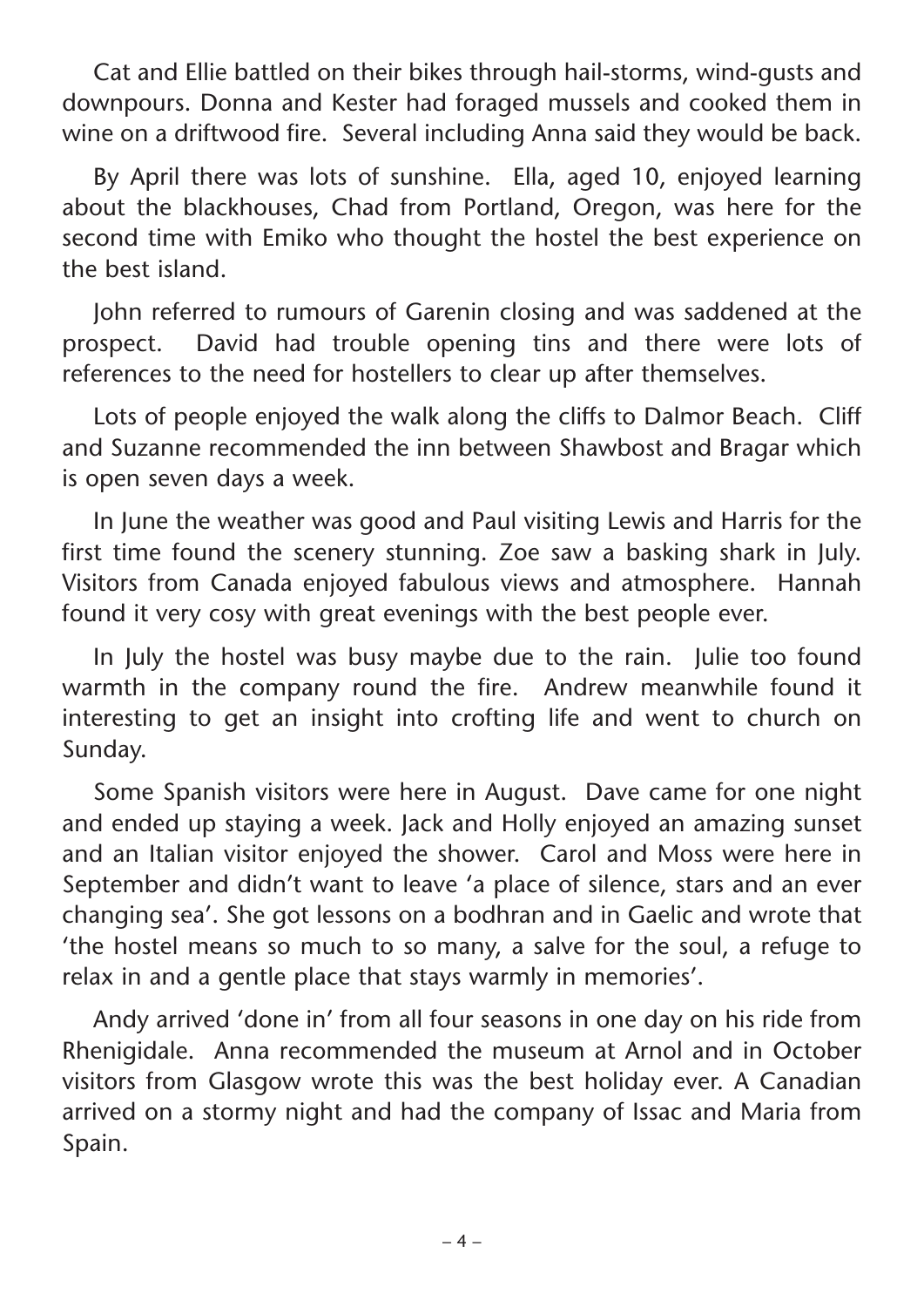Cat and Ellie battled on their bikes through hail-storms, wind-gusts and downpours. Donna and Kester had foraged mussels and cooked them in wine on a driftwood fire. Several including Anna said they would be back.

By April there was lots of sunshine. Ella, aged 10, enjoyed learning about the blackhouses, Chad from Portland, Oregon, was here for the second time with Emiko who thought the hostel the best experience on the best island.

John referred to rumours of Garenin closing and was saddened at the prospect. David had trouble opening tins and there were lots of references to the need for hostellers to clear up after themselves.

Lots of people enjoyed the walk along the cliffs to Dalmor Beach. Cliff and Suzanne recommended the inn between Shawbost and Bragar which is open seven days a week.

In June the weather was good and Paul visiting Lewis and Harris for the first time found the scenery stunning. Zoe saw a basking shark in July. Visitors from Canada enjoyed fabulous views and atmosphere. Hannah found it very cosy with great evenings with the best people ever.

In July the hostel was busy maybe due to the rain. Julie too found warmth in the company round the fire. Andrew meanwhile found it interesting to get an insight into crofting life and went to church on Sunday.

Some Spanish visitors were here in August. Dave came for one night and ended up staying a week. Jack and Holly enjoyed an amazing sunset and an Italian visitor enjoyed the shower. Carol and Moss were here in September and didn't want to leave 'a place of silence, stars and an ever changing sea'. She got lessons on a bodhran and in Gaelic and wrote that 'the hostel means so much to so many, a salve for the soul, a refuge to relax in and a gentle place that stays warmly in memories'.

Andy arrived 'done in' from all four seasons in one day on his ride from Rhenigidale. Anna recommended the museum at Arnol and in October visitors from Glasgow wrote this was the best holiday ever. A Canadian arrived on a stormy night and had the company of Issac and Maria from Spain.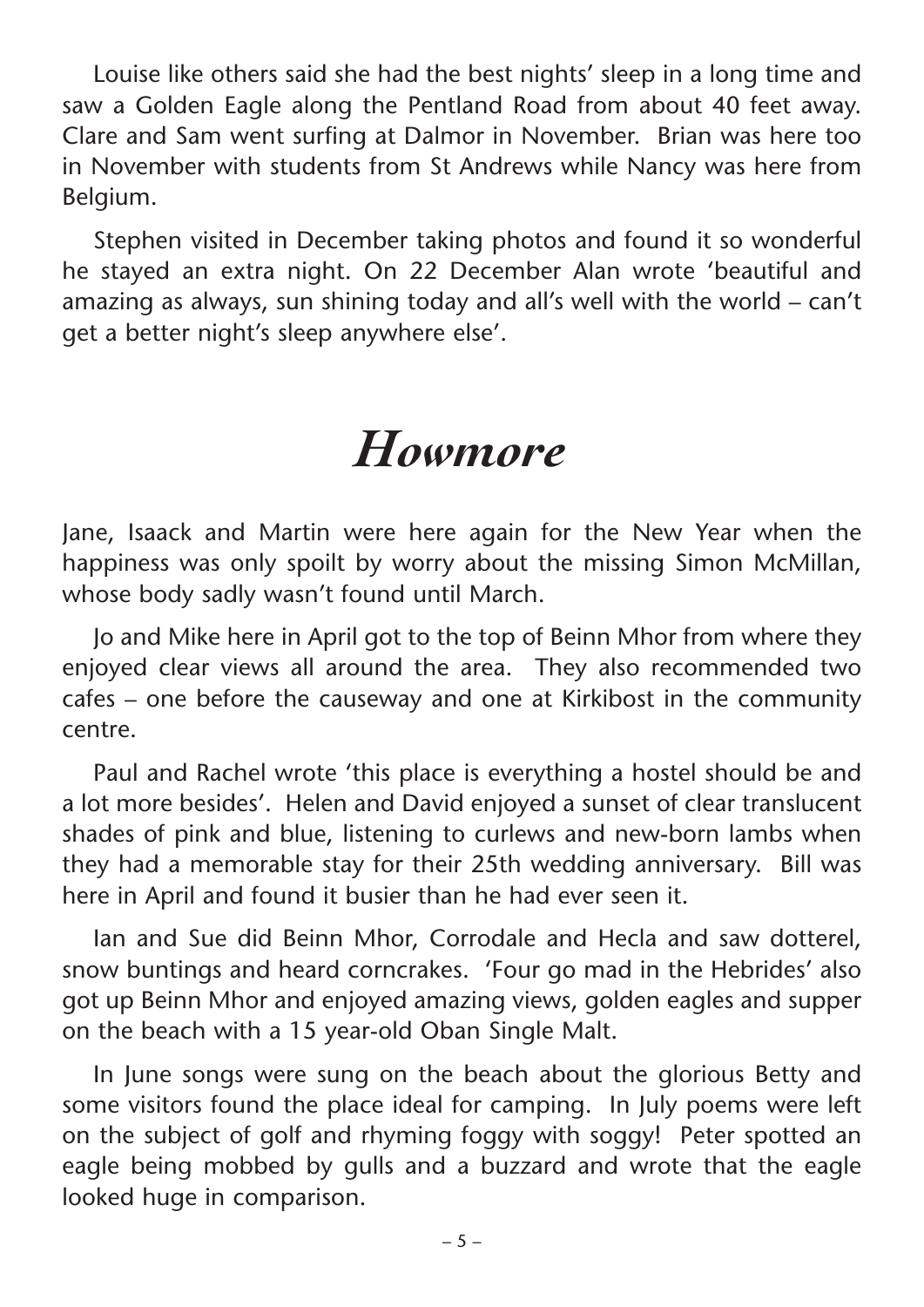Louise like others said she had the best nights' sleep in a long time and saw a Golden Eagle along the Pentland Road from about 40 feet away. Clare and Sam went surfing at Dalmor in November. Brian was here too in November with students from St Andrews while Nancy was here from Belgium.

Stephen visited in December taking photos and found it so wonderful he stayed an extra night. On 22 December Alan wrote 'beautiful and amazing as always, sun shining today and all's well with the world – can't get a better night's sleep anywhere else'.

## *Howmore*

Jane, Isaack and Martin were here again for the New Year when the happiness was only spoilt by worry about the missing Simon McMillan, whose body sadly wasn't found until March.

Jo and Mike here in April got to the top of Beinn Mhor from where they enjoyed clear views all around the area. They also recommended two cafes – one before the causeway and one at Kirkibost in the community centre.

Paul and Rachel wrote 'this place is everything a hostel should be and a lot more besides'. Helen and David enjoyed a sunset of clear translucent shades of pink and blue, listening to curlews and new-born lambs when they had a memorable stay for their 25th wedding anniversary. Bill was here in April and found it busier than he had ever seen it.

Ian and Sue did Beinn Mhor, Corrodale and Hecla and saw dotterel, snow buntings and heard corncrakes. 'Four go mad in the Hebrides' also got up Beinn Mhor and enjoyed amazing views, golden eagles and supper on the beach with a 15 year-old Oban Single Malt.

In June songs were sung on the beach about the glorious Betty and some visitors found the place ideal for camping. In July poems were left on the subject of golf and rhyming foggy with soggy! Peter spotted an eagle being mobbed by gulls and a buzzard and wrote that the eagle looked huge in comparison.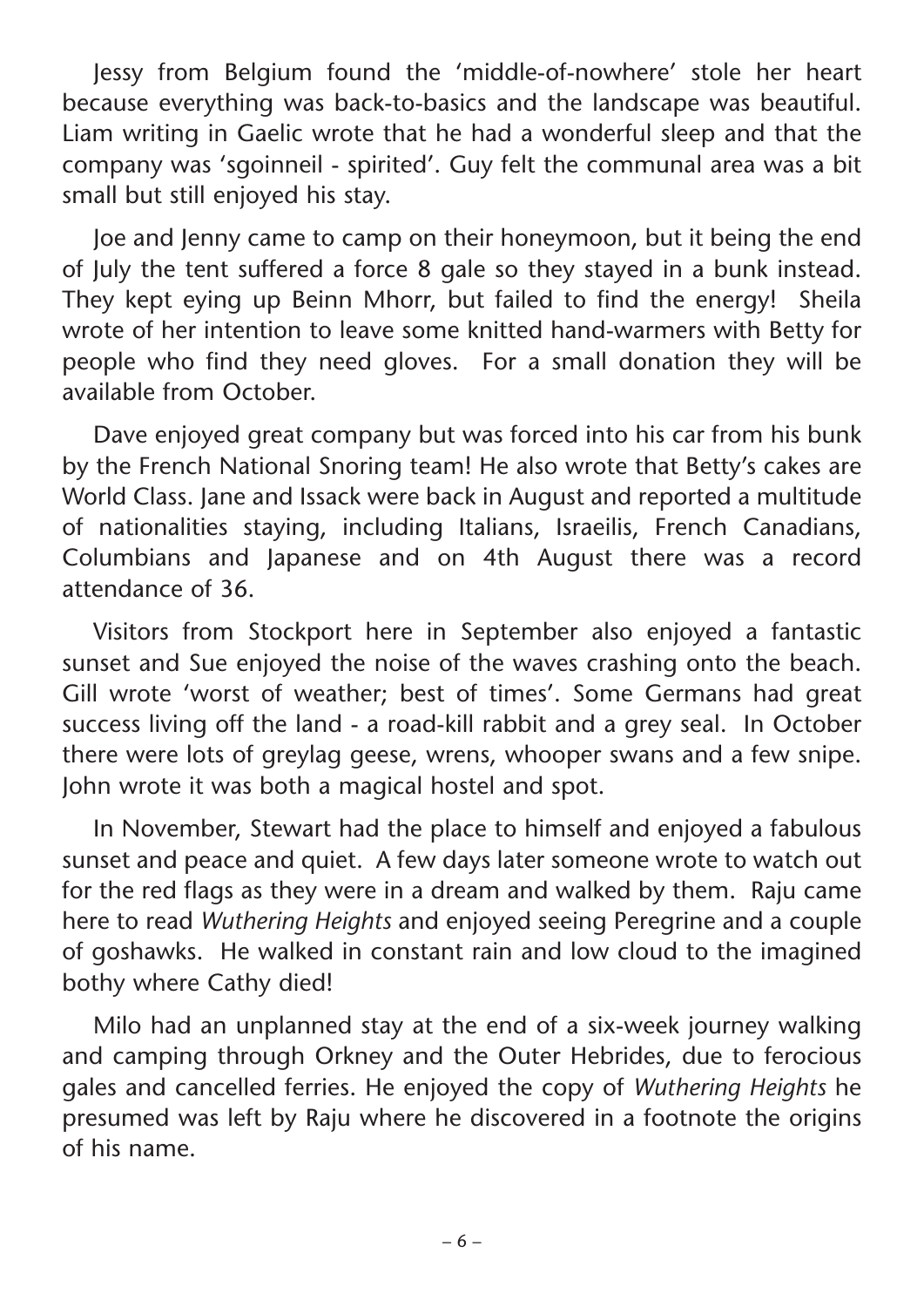Jessy from Belgium found the 'middle-of-nowhere' stole her heart because everything was back-to-basics and the landscape was beautiful. Liam writing in Gaelic wrote that he had a wonderful sleep and that the company was 'sgoinneil - spirited'. Guy felt the communal area was a bit small but still enjoyed his stay.

Joe and Jenny came to camp on their honeymoon, but it being the end of July the tent suffered a force 8 gale so they stayed in a bunk instead. They kept eying up Beinn Mhorr, but failed to find the energy! Sheila wrote of her intention to leave some knitted hand-warmers with Betty for people who find they need gloves. For a small donation they will be available from October.

Dave enjoyed great company but was forced into his car from his bunk by the French National Snoring team! He also wrote that Betty's cakes are World Class. Jane and Issack were back in August and reported a multitude of nationalities staying, including Italians, Israeilis, French Canadians, Columbians and Japanese and on 4th August there was a record attendance of 36.

Visitors from Stockport here in September also enjoyed a fantastic sunset and Sue enjoyed the noise of the waves crashing onto the beach. Gill wrote 'worst of weather; best of times'. Some Germans had great success living off the land - a road-kill rabbit and a grey seal. In October there were lots of greylag geese, wrens, whooper swans and a few snipe. John wrote it was both a magical hostel and spot.

In November, Stewart had the place to himself and enjoyed a fabulous sunset and peace and quiet. A few days later someone wrote to watch out for the red flags as they were in a dream and walked by them. Raju came here to read *Wuthering Heights* and enjoyed seeing Peregrine and a couple of goshawks. He walked in constant rain and low cloud to the imagined bothy where Cathy died!

Milo had an unplanned stay at the end of a six-week journey walking and camping through Orkney and the Outer Hebrides, due to ferocious gales and cancelled ferries. He enjoyed the copy of *Wuthering Heights* he presumed was left by Raju where he discovered in a footnote the origins of his name.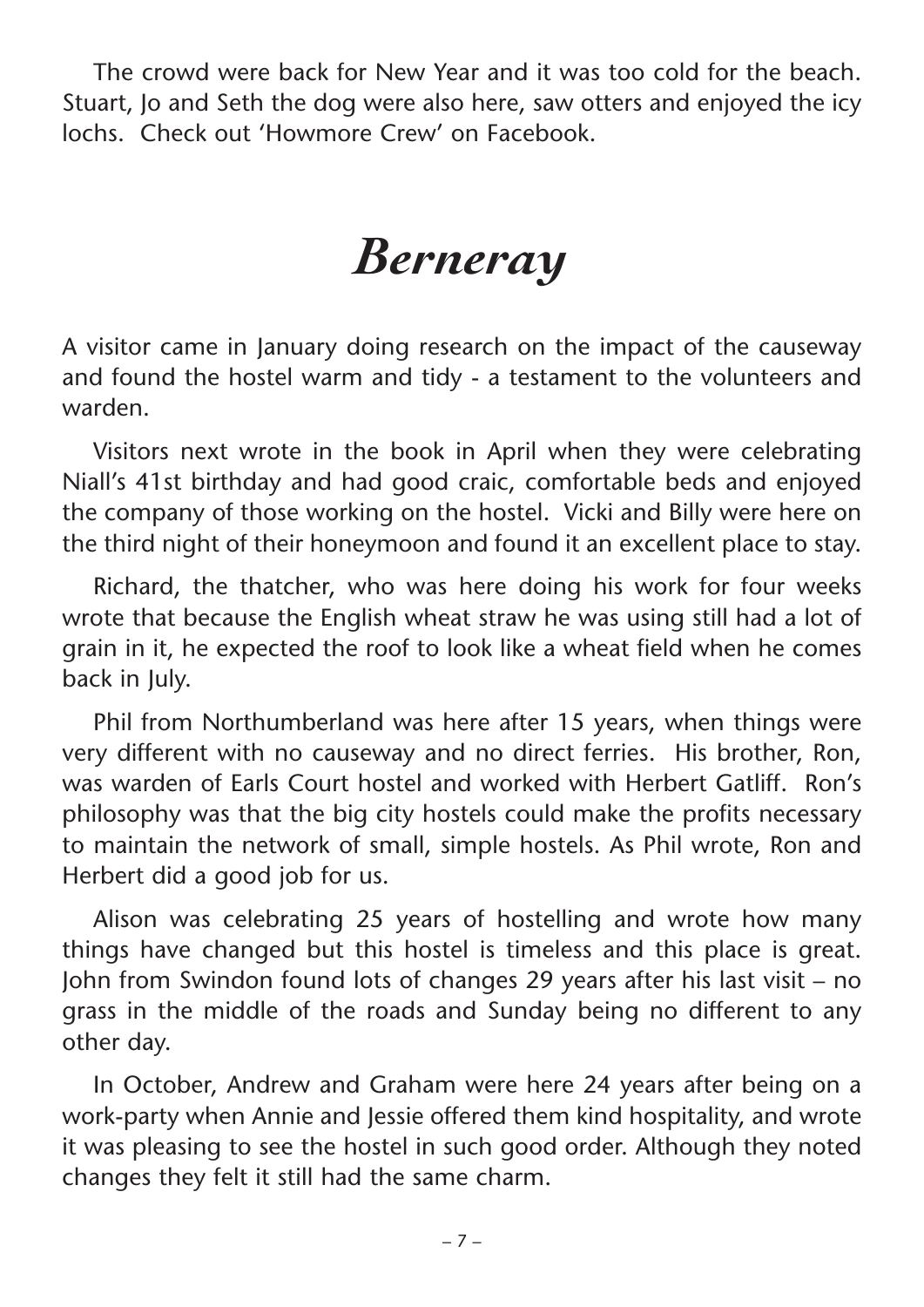The crowd were back for New Year and it was too cold for the beach. Stuart, Jo and Seth the dog were also here, saw otters and enjoyed the icy lochs. Check out 'Howmore Crew' on Facebook.

## *Berneray*

A visitor came in January doing research on the impact of the causeway and found the hostel warm and tidy - a testament to the volunteers and warden.

Visitors next wrote in the book in April when they were celebrating Niall's 41st birthday and had good craic, comfortable beds and enjoyed the company of those working on the hostel. Vicki and Billy were here on the third night of their honeymoon and found it an excellent place to stay.

Richard, the thatcher, who was here doing his work for four weeks wrote that because the English wheat straw he was using still had a lot of grain in it, he expected the roof to look like a wheat field when he comes back in July.

Phil from Northumberland was here after 15 years, when things were very different with no causeway and no direct ferries. His brother, Ron, was warden of Earls Court hostel and worked with Herbert Gatliff. Ron's philosophy was that the big city hostels could make the profits necessary to maintain the network of small, simple hostels. As Phil wrote, Ron and Herbert did a good job for us.

Alison was celebrating 25 years of hostelling and wrote how many things have changed but this hostel is timeless and this place is great. John from Swindon found lots of changes 29 years after his last visit – no grass in the middle of the roads and Sunday being no different to any other day.

In October, Andrew and Graham were here 24 years after being on a work-party when Annie and Jessie offered them kind hospitality, and wrote it was pleasing to see the hostel in such good order. Although they noted changes they felt it still had the same charm.